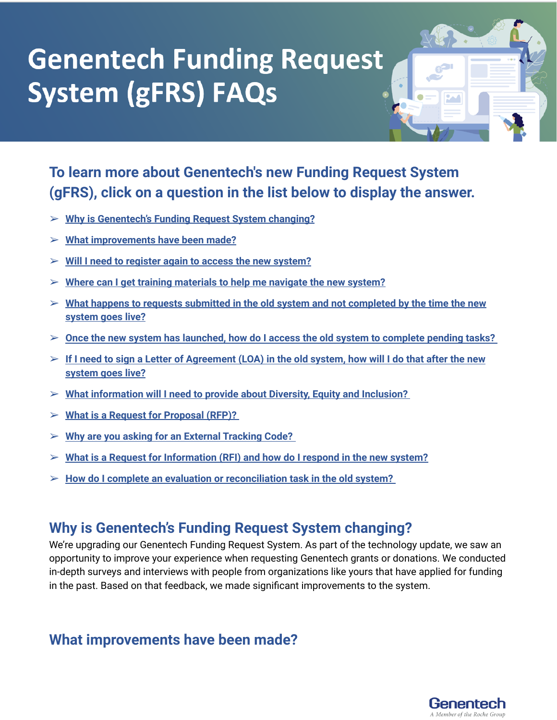

## **To learn more about Genentech's new Funding Request System (gFRS), click on a question in the list below to display the answer.**

- ➢ **Why is [Genentech's](#page-0-0) Funding Request System changing?**
- ➢ **What [improvements](#page-0-1) have been made?**
- ➢ **Will I need to register again to access the new [system?](#page-1-0)**
- ➢ **Where can I get training [materials](#page-1-1) to help me navigate the new system?**
- ➢ **What happens to requests submitted in the old system and not [completed](#page-1-2) by the time the new [system](#page-1-2) goes live?**
- ➢ **Once the new system has [launched,](#page-1-3) how do I access the old system to complete pending tasks?**
- $\triangleright$  If I need to sign a Letter of [Agreement](#page-1-4) (LOA) in the old system, how will I do that after the new **[system](#page-1-4) goes live?**
- ➢ **What [information](#page-2-0) will I need to provide about Diversity, Equity and Inclusion?**
- ➢ **What is a Request for [Proposal](#page-3-0) (RFP)?**
- ➢ **Why are you asking for an External [Tracking](#page-3-1) Code?**
- ➢ **What is a Request for [Information](#page-3-2) (RFI) and how do I respond in the new system?**
- ➢ **How do I complete an evaluation or [reconciliation](#page-4-0) task in the old system?**

### <span id="page-0-0"></span>**Why is Genentech's Funding Request System changing?**

We're upgrading our Genentech Funding Request System. As part of the technology update, we saw an opportunity to improve your experience when requesting Genentech grants or donations. We conducted in-depth surveys and interviews with people from organizations like yours that have applied for funding in the past. Based on that feedback, we made significant improvements to the system.

#### <span id="page-0-1"></span>**What improvements have been made?**

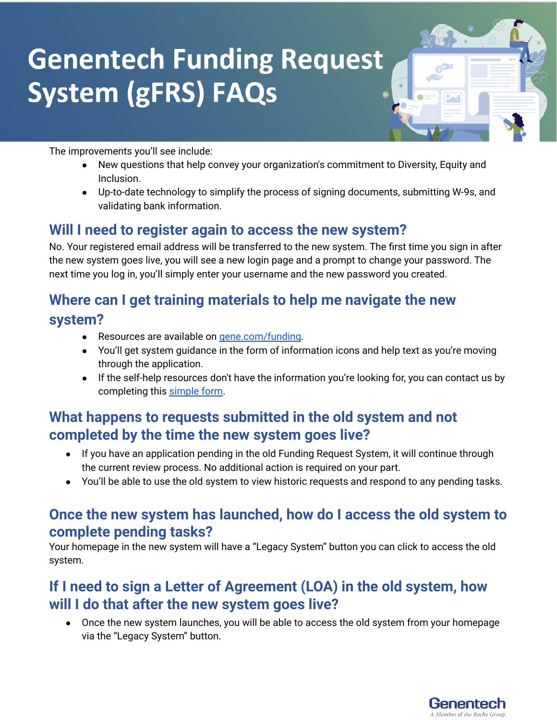

The improvements you'll see include:

- New questions that help convey your organization's commitment to Diversity, Equity and Inclusion.
- Up-to-date technology to simplify the process of signing documents, submitting W-9s, and validating bank information.

#### <span id="page-1-0"></span>**Will I need to register again to access the new system?**

No. Your registered email address will be transferred to the new system. The first time you sign in after the new system goes live, you will see a new login page and a prompt to change your password. The next time you log in, you'll simply enter your username and the new password you created.

## <span id="page-1-1"></span>**Where can I get training materials to help me navigate the new system?**

- Resources are available on [gene.com/funding](http://gene.com/funding).
- You'll get system guidance in the form of information icons and help text as you're moving through the application.
- If the self-help resources don't have the information you're looking for, you can contact us by completing this [simple](https://www.gene.com/good/giving/corporate-giving/contact-us) form.

#### <span id="page-1-2"></span>**What happens to requests submitted in the old system and not completed by the time the new system goes live?**

- If you have an application pending in the old Funding Request System, it will continue through the current review process. No additional action is required on your part.
- You'll be able to use the old system to view historic requests and respond to any pending tasks.

#### <span id="page-1-3"></span>**Once the new system has launched, how do I access the old system to complete pending tasks?**

Your homepage in the new system will have a "Legacy System" button you can click to access the old system.

#### <span id="page-1-4"></span>**If I need to sign a Letter of Agreement (LOA) in the old system, how will I do that after the new system goes live?**

● Once the new system launches, you will be able to access the old system from your homepage via the "Legacy System" button.

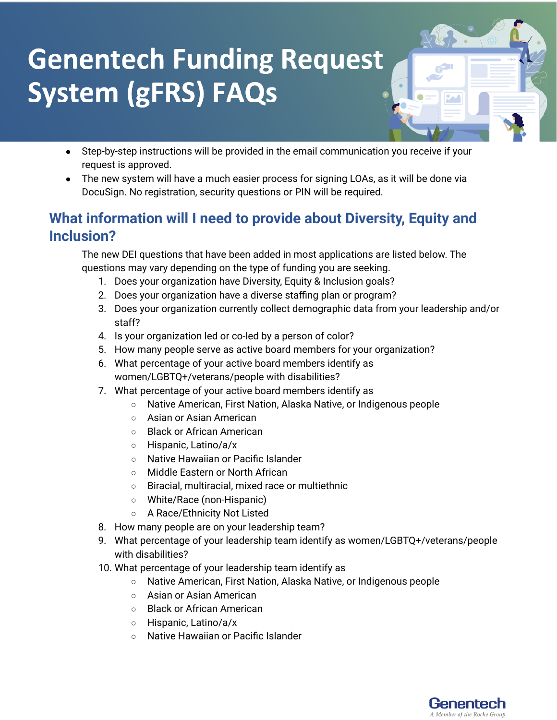- Step-by-step instructions will be provided in the email communication you receive if your request is approved.
- The new system will have a much easier process for signing LOAs, as it will be done via DocuSign. No registration, security questions or PIN will be required.

### <span id="page-2-0"></span>**What information will I need to provide about Diversity, Equity and Inclusion?**

The new DEI questions that have been added in most applications are listed below. The questions may vary depending on the type of funding you are seeking.

- 1. Does your organization have Diversity, Equity & Inclusion goals?
- 2. Does your organization have a diverse staffing plan or program?
- 3. Does your organization currently collect demographic data from your leadership and/or staff?
- 4. Is your organization led or co-led by a person of color?
- 5. How many people serve as active board members for your organization?
- 6. What percentage of your active board members identify as women/LGBTQ+/veterans/people with disabilities?
- 7. What percentage of your active board members identify as
	- Native American, First Nation, Alaska Native, or Indigenous people
	- Asian or Asian American
	- Black or African American
	- Hispanic, Latino/a/x
	- Native Hawaiian or Pacific Islander
	- Middle Eastern or North African
	- Biracial, multiracial, mixed race or multiethnic
	- White/Race (non-Hispanic)
	- A Race/Ethnicity Not Listed
- 8. How many people are on your leadership team?
- 9. What percentage of your leadership team identify as women/LGBTQ+/veterans/people with disabilities?
- 10. What percentage of your leadership team identify as
	- Native American, First Nation, Alaska Native, or Indigenous people
	- Asian or Asian American
	- Black or African American
	- Hispanic, Latino/a/x
	- Native Hawaiian or Pacific Islander

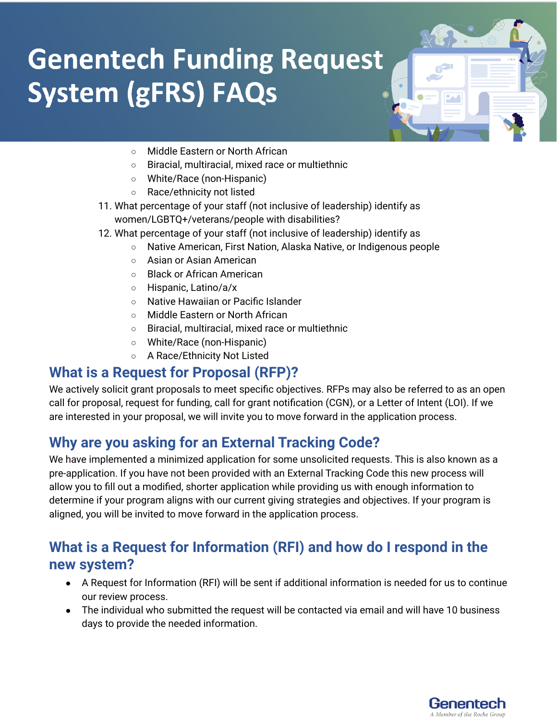

- Middle Eastern or North African
- Biracial, multiracial, mixed race or multiethnic
- White/Race (non-Hispanic)
- Race/ethnicity not listed
- 11. What percentage of your staff (not inclusive of leadership) identify as women/LGBTQ+/veterans/people with disabilities?
- 12. What percentage of your staff (not inclusive of leadership) identify as
	- Native American, First Nation, Alaska Native, or Indigenous people
	- Asian or Asian American
	- Black or African American
	- Hispanic, Latino/a/x
	- Native Hawaiian or Pacific Islander
	- Middle Eastern or North African
	- Biracial, multiracial, mixed race or multiethnic
	- White/Race (non-Hispanic)
	- A Race/Ethnicity Not Listed

#### <span id="page-3-0"></span>**What is a Request for Proposal (RFP)?**

We actively solicit grant proposals to meet specific objectives. RFPs may also be referred to as an open call for proposal, request for funding, call for grant notification (CGN), or a Letter of Intent (LOI). If we are interested in your proposal, we will invite you to move forward in the application process.

### <span id="page-3-1"></span>**Why are you asking for an External Tracking Code?**

We have implemented a minimized application for some unsolicited requests. This is also known as a pre-application. If you have not been provided with an External Tracking Code this new process will allow you to fill out a modified, shorter application while providing us with enough information to determine if your program aligns with our current giving strategies and objectives. If your program is aligned, you will be invited to move forward in the application process.

#### <span id="page-3-2"></span>**What is a Request for Information (RFI) and how do I respond in the new system?**

- A Request for Information (RFI) will be sent if additional information is needed for us to continue our review process.
- The individual who submitted the request will be contacted via email and will have 10 business days to provide the needed information.